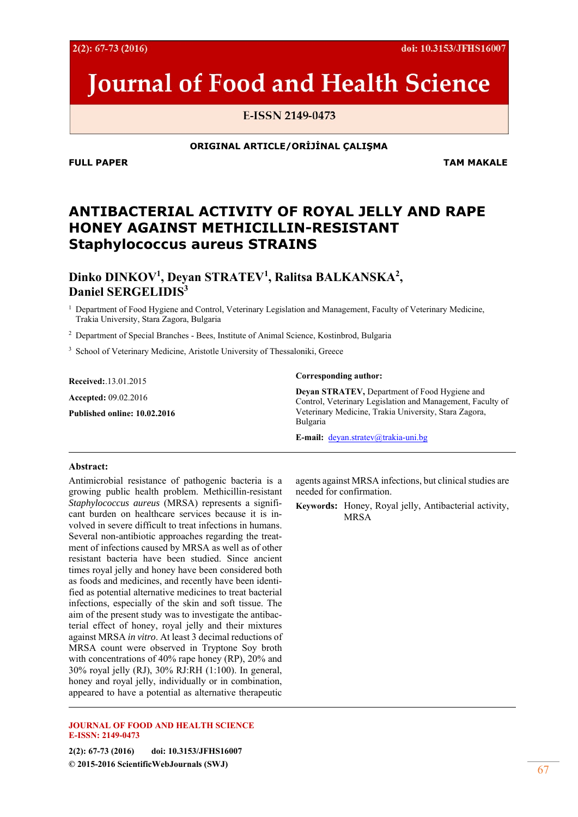# **Journal of Food and Health Science**

E-ISSN 2149-0473

#### **ORIGINAL ARTICLE/ORİJİNAL ÇALIŞMA**

**FULL PAPER TAM MAKALE** 

# **ANTIBACTERIAL ACTIVITY OF ROYAL JELLY AND RAPE HONEY AGAINST METHICILLIN-RESISTANT**  *Staphylococcus aureus* **STRAINS**

**Dinko DINKOV1 , Deyan STRATEV<sup>1</sup> , Ralitsa BALKANSKA<sup>2</sup> , Daniel SERGELIDIS<sup>3</sup>**

<sup>1</sup> Department of Food Hygiene and Control, Veterinary Legislation and Management, Faculty of Veterinary Medicine, Trakia University, Stara Zagora, Bulgaria

2 Department of Special Branches - Bees, Institute of Animal Science, Kostinbrod, Bulgaria

<sup>3</sup> School of Veterinary Medicine, Aristotle University of Thessaloniki, Greece

**Received:**.13.01.2015 **Accepted:** 09.02.2016 **Published online: 10.02.2016** 

#### **Corresponding author:**

**Deyan STRATEV,** Department of Food Hygiene and Control, Veterinary Legislation and Management, Faculty of Veterinary Medicine, Trakia University, Stara Zagora, Bulgaria

**E-mail:** deyan.stratev@trakia-uni.bg

#### **Abstract:**

Antimicrobial resistance of pathogenic bacteria is a growing public health problem. Methicillin-resistant *Staphylococcus aureus* (MRSA) represents a significant burden on healthcare services because it is involved in severe difficult to treat infections in humans. Several non-antibiotic approaches regarding the treatment of infections caused by MRSA as well as of other resistant bacteria have been studied. Since ancient times royal jelly and honey have been considered both as foods and medicines, and recently have been identified as potential alternative medicines to treat bacterial infections, especially of the skin and soft tissue. The aim of the present study was to investigate the antibacterial effect of honey, royal jelly and their mixtures against MRSA *in vitro*. At least 3 decimal reductions of MRSA count were observed in Tryptone Soy broth with concentrations of 40% rape honey (RP), 20% and 30% royal jelly (RJ), 30% RJ:RH (1:100). In general, honey and royal jelly, individually or in combination, appeared to have a potential as alternative therapeutic

#### **JOURNAL OF FOOD AND HEALTH SCIENCE E-ISSN: 2149-0473**

**2(2): 67-73 (2016) doi: 10.3153/JFHS16007 © 2015-2016 ScientificWebJournals (SWJ)** 67

agents against MRSA infections, but clinical studies are needed for confirmation.

**Keywords:** Honey, Royal jelly, Antibacterial activity, MRSA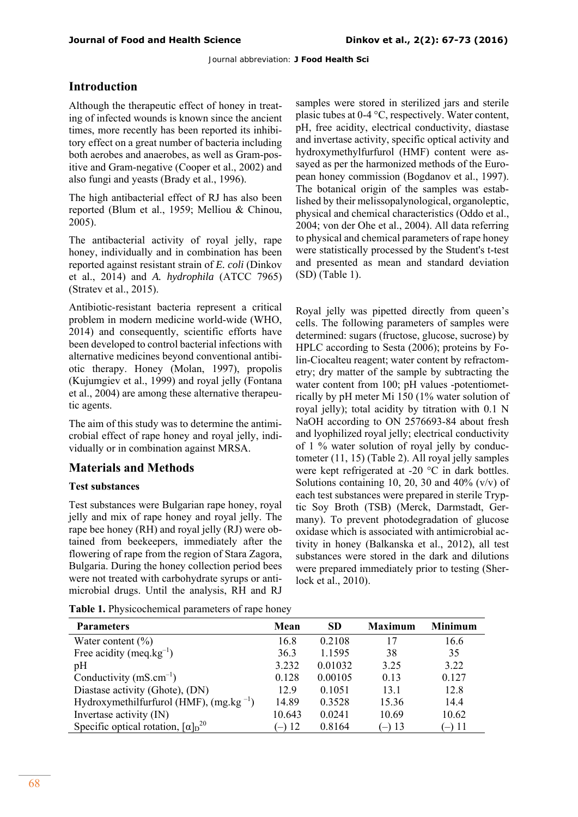# **Introduction**

Although the therapeutic effect of honey in treating of infected wounds is known since the ancient times, more recently has been reported its inhibitory effect on a great number of bacteria including both aerobes and anaerobes, as well as Gram-positive and Gram-negative (Cooper et al., 2002) and also fungi and yeasts (Brady et al., 1996).

The high antibacterial effect of RJ has also been reported (Blum et al., 1959; Melliou & Chinou, 2005).

The antibacterial activity of royal jelly, rape honey, individually and in combination has been reported against resistant strain of *E. coli* (Dinkov et al., 2014) and *A. hydrophila* (ATCC 7965) (Stratev et al., 2015).

Antibiotic-resistant bacteria represent a critical problem in modern medicine world-wide (WHO, 2014) and consequently, scientific efforts have been developed to control bacterial infections with alternative medicines beyond conventional antibiotic therapy. Honey (Molan, 1997), propolis (Kujumgiev et al., 1999) and royal jelly (Fontana et al., 2004) are among these alternative therapeutic agents.

The aim of this study was to determine the antimicrobial effect of rape honey and royal jelly, individually or in combination against MRSA.

# **Materials and Methods**

## **Test substances**

Test substances were Bulgarian rape honey, royal jelly and mix of rape honey and royal jelly. The rape bee honey (RH) and royal jelly (RJ) were obtained from beekeepers, immediately after the flowering of rape from the region of Stara Zagora, Bulgaria. During the honey collection period bees were not treated with carbohydrate syrups or antimicrobial drugs. Until the analysis, RH and RJ

**Table 1.** Physicochemical parameters of rape honey

samples were stored in sterilized jars and sterile plasic tubes at 0-4 °С, respectively. Water content, pH, free acidity, electrical conductivity, diastase and invertase activity, specific optical activity and hydroxymethylfurfurol (HMF) content were assayed as per the harmonized methods of the European honey commission (Bogdanov et al., 1997). The botanical origin of the samples was established by their melissopalynological, organoleptic, physical and chemical characteristics (Oddo et al., 2004; von der Ohe et al., 2004). All data referring to physical and chemical parameters of rape honey were statistically processed by the Student's t-test and presented as mean and standard deviation (SD) (Table 1).

Royal jelly was pipetted directly from queen's cells. The following parameters of samples were determined: sugars (fructose, glucose, sucrose) by HPLC according to Sesta (2006); proteins by Folin-Ciocalteu reagent; water content by refractometry; dry matter of the sample by subtracting the water content from 100; pH values -potentiometrically by pH meter Mi 150 (1% water solution of royal jelly); total acidity by titration with 0.1 N NaOH according to ON 2576693-84 about fresh and lyophilized royal jelly; electrical conductivity of 1 % water solution of royal jelly by conductometer (11, 15) (Table 2). All royal jelly samples were kept refrigerated at -20 °C in dark bottles. Solutions containing 10, 20, 30 and 40%  $(v/v)$  of each test substances were prepared in sterile Tryptic Soy Broth (TSB) (Merck, Darmstadt, Germany). To prevent photodegradation of glucose oxidase which is associated with antimicrobial activity in honey (Balkanska et al., 2012), all test substances were stored in the dark and dilutions were prepared immediately prior to testing (Sherlock et al., 2010).

| <b>Parameters</b>                                         | Mean     | <b>SD</b> | <b>Maximum</b> | <b>Minimum</b> |
|-----------------------------------------------------------|----------|-----------|----------------|----------------|
| Water content $(\% )$                                     | 16.8     | 0.2108    | 17             | 16.6           |
| Free acidity (meq.kg $^{-1}$ )                            | 36.3     | 1.1595    | 38             | 35             |
| pH                                                        | 3.232    | 0.01032   | 3.25           | 3.22           |
| Conductivity $(mS.cm^{-1})$                               | 0.128    | 0.00105   | 0.13           | 0.127          |
| Diastase activity (Ghote), (DN)                           | 12.9     | 0.1051    | 13.1           | 12.8           |
| Hydroxymethilfurfurol (HMF), $(mg.kg^{-1})$               | 14.89    | 0.3528    | 15.36          | 14.4           |
| Invertase activity (IN)                                   | 10.643   | 0.0241    | 10.69          | 10.62          |
| Specific optical rotation, $\left[\alpha\right]_{D}^{20}$ | $-$ ) 12 | 0.8164    | $-$ ) 13       | $-$ ) 11       |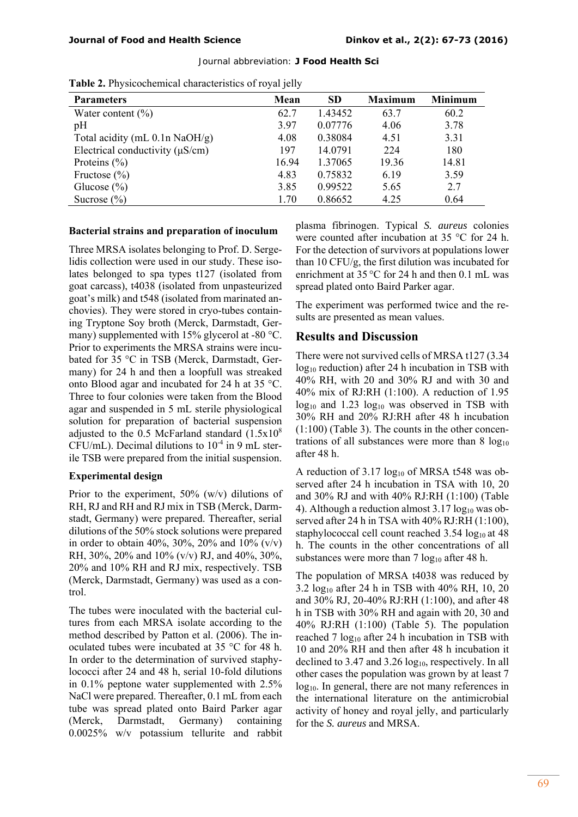| <b>1 apre 2.</b> I hysicochemical characteristics of Toyal Jeny |       |           |                |                |  |
|-----------------------------------------------------------------|-------|-----------|----------------|----------------|--|
| <b>Parameters</b>                                               | Mean  | <b>SD</b> | <b>Maximum</b> | <b>Minimum</b> |  |
| Water content $(\% )$                                           | 62.7  | 1.43452   | 63.7           | 60.2           |  |
| pH                                                              | 3.97  | 0.07776   | 4.06           | 3.78           |  |
| Total acidity (mL $0.1n$ NaOH/g)                                | 4.08  | 0.38084   | 4.51           | 3.31           |  |
| Electrical conductivity $(\mu S/cm)$                            | 197   | 14.0791   | 224            | 180            |  |
| Proteins $(\% )$                                                | 16.94 | 1.37065   | 19.36          | 14.81          |  |
| Fructose $(\% )$                                                | 4.83  | 0.75832   | 6.19           | 3.59           |  |
| Glucose $(\%)$                                                  | 3.85  | 0.99522   | 5.65           | 2.7            |  |
| Sucrose $(\% )$                                                 | 1.70  | 0.86652   | 4.25           | 0.64           |  |

**Table 2.** Physicochemical characteristics of royal jelly

#### **Bacterial strains and preparation of inoculum**

Three MRSA isolates belonging to Prof. D. Sergelidis collection were used in our study. These isolates belonged to spa types t127 (isolated from goat carcass), t4038 (isolated from unpasteurized goat's milk) and t548 (isolated from marinated anchovies). They were stored in cryo-tubes containing Tryptone Soy broth (Merck, Darmstadt, Germany) supplemented with 15% glycerol at -80 °C. Prior to experiments the MRSA strains were incubated for 35 °C in TSB (Merck, Darmstadt, Germany) for 24 h and then a loopfull was streaked onto Blood agar and incubated for 24 h at 35 °C. Three to four colonies were taken from the Blood agar and suspended in 5 mL sterile physiological solution for preparation of bacterial suspension adjusted to the 0.5 McFarland standard  $(1.5x10<sup>8</sup>)$ CFU/mL). Decimal dilutions to  $10^{-4}$  in 9 mL sterile TSB were prepared from the initial suspension.

#### **Experimental design**

Prior to the experiment, 50% (w/v) dilutions of RH, RJ and RH and RJ mix in TSB (Merck, Darmstadt, Germany) were prepared. Thereafter, serial dilutions of the 50% stock solutions were prepared in order to obtain 40%, 30%, 20% and 10%  $(v/v)$ RH, 30%, 20% and 10% (v/v) RJ, and 40%, 30%, 20% and 10% RH and RJ mix, respectively. TSB (Merck, Darmstadt, Germany) was used as a control.

The tubes were inoculated with the bacterial cultures from each MRSA isolate according to the method described by Patton et al. (2006). The inoculated tubes were incubated at 35 °C for 48 h. In order to the determination of survived staphylococci after 24 and 48 h, serial 10-fold dilutions in 0.1% peptone water supplemented with 2.5% NaCl were prepared. Thereafter, 0.1 mL from each tube was spread plated onto Baird Parker agar (Merck, Darmstadt, Germany) containing 0.0025% w/v potassium tellurite and rabbit plasma fibrinogen. Typical *S. aureus* colonies were counted after incubation at 35 °C for 24 h. For the detection of survivors at populations lower than 10 CFU/g, the first dilution was incubated for enrichment at 35 °C for 24 h and then 0.1 mL was spread plated onto Baird Parker agar.

The experiment was performed twice and the results are presented as mean values.

## **Results and Discussion**

There were not survived cells of MRSA t127 (3.34  $log_{10}$  reduction) after 24 h incubation in TSB with 40% RH, with 20 and 30% RJ and with 30 and 40% mix of RJ:RH (1:100). A reduction of 1.95  $log_{10}$  and 1.23  $log_{10}$  was observed in TSB with 30% RH and 20% RJ:RH after 48 h incubation (1:100) (Table 3). The counts in the other concentrations of all substances were more than  $8 \log_{10}$ after 48 h.

A reduction of 3.17 log<sub>10</sub> of MRSA t548 was observed after 24 h incubation in TSA with 10, 20 and 30% RJ and with 40% RJ:RH (1:100) (Table 4). Although a reduction almost  $3.17 \log_{10}$  was observed after 24 h in TSA with 40% RJ:RH (1:100), staphylococcal cell count reached  $3.54 \log_{10} at 48$ h. The counts in the other concentrations of all substances were more than  $7 \log_{10}$  after 48 h.

The population of MRSA t4038 was reduced by 3.2  $log_{10}$  after 24 h in TSB with 40% RH, 10, 20 and 30% RJ, 20-40% RJ:RH (1:100), and after 48 h in TSB with 30% RH and again with 20, 30 and 40% RJ:RH (1:100) (Table 5). The population reached 7  $log_{10}$  after 24 h incubation in TSB with 10 and 20% RH and then after 48 h incubation it declined to 3.47 and 3.26  $log_{10}$ , respectively. In all other cases the population was grown by at least 7  $log_{10}$ . In general, there are not many references in the international literature on the antimicrobial activity of honey and royal jelly, and particularly for the *S. aureus* and MRSA.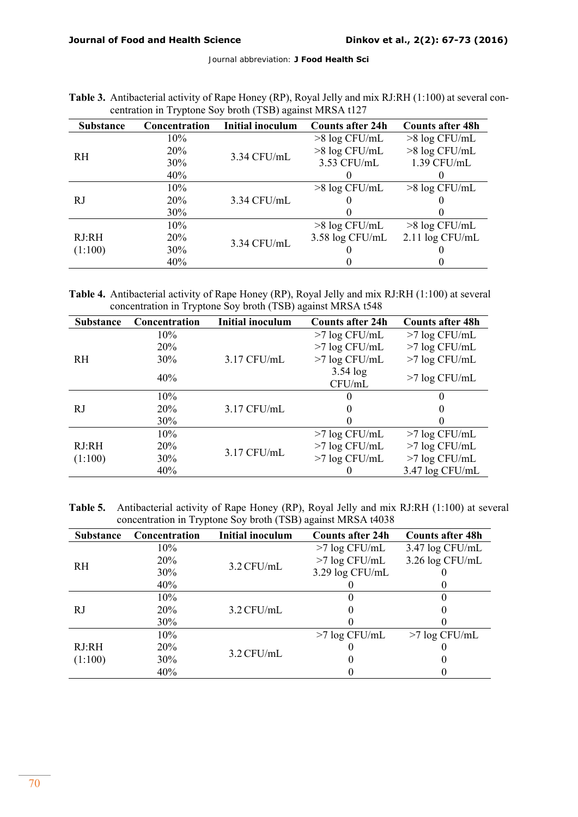| <b>Substance</b> | Concentration | Initial inoculum | <b>Counts after 24h</b> | <b>Counts after 48h</b> |
|------------------|---------------|------------------|-------------------------|-------------------------|
| <b>RH</b>        | 10%           | 3.34 CFU/mL      | $>8 \log CFU/mL$        | $>8 \log CFU/mL$        |
|                  | 20%           |                  | >8 log CFU/mL           | >8 log CFU/mL           |
|                  | 30%           |                  | 3.53 CFU/mL             | 1.39 CFU/mL             |
|                  | 40%           |                  |                         |                         |
| RJ               | 10%           | 3.34 CFU/mL      | $>8 \log CFU/mL$        | $>8 \log CFU/mL$        |
|                  | <b>20%</b>    |                  |                         |                         |
|                  | 30%           |                  |                         |                         |
| RJ:RH<br>(1:100) | 10%           | 3.34 CFU/mL      | $>8 \log CFU/mL$        | $>8 \log CFU/mL$        |
|                  | 20%           |                  | 3.58 log CFU/mL         | $2.11 \log CFU/mL$      |
|                  | 30%           |                  |                         |                         |
|                  | 40%           |                  |                         |                         |

| Table 3. Antibacterial activity of Rape Honey (RP), Royal Jelly and mix RJ:RH (1:100) at several con- |
|-------------------------------------------------------------------------------------------------------|
| centration in Tryptone Soy broth (TSB) against MRSA t127                                              |

**Table 4.** Antibacterial activity of Rape Honey (RP), Royal Jelly and mix RJ:RH (1:100) at several concentration in Tryptone Soy broth (TSB) against MRSA t548

| <b>Substance</b> | Concentration      | <b>Initial inoculum</b> | <b>Counts after 24h</b> | <b>Counts after 48h</b> |
|------------------|--------------------|-------------------------|-------------------------|-------------------------|
| <b>RH</b>        | 10%                |                         | $>7 \log CFU/mL$        | $>7$ log CFU/mL         |
|                  | 20%                |                         | $>7$ log CFU/mL         | $>7$ log CFU/mL         |
|                  | 30%                | $3.17$ CFU/mL           | $>7$ log CFU/mL         | $>7$ log CFU/mL         |
|                  | 40%                |                         | $3.54 \log$             |                         |
|                  |                    |                         | CFU/mL                  | $>7 \log CFU/mL$        |
| RJ               | 10%                |                         | $\theta$                | 0                       |
|                  | 20%                | $3.17$ CFU/mL           | $\theta$                | 0                       |
|                  | 30%                |                         |                         | 0                       |
| RJ:RH<br>(1:100) | 10%                |                         | $>7 \log CFU/mL$        | $>7$ log CFU/mL         |
|                  | 20%<br>3.17 CFU/mL | $>7$ log CFU/mL         | $>7$ log CFU/mL         |                         |
|                  | 30%                |                         | $>7$ log CFU/mL         | $>7$ log CFU/mL         |
|                  | 40%                |                         |                         | 3.47 log CFU/mL         |

**Table 5.** Antibacterial activity of Rape Honey (RP), Royal Jelly and mix RJ:RH (1:100) at several concentration in Tryptone Soy broth (TSB) against MRSA t4038

| <b>Substance</b> | Concentration | <b>Initial inoculum</b> | <b>Counts after 24h</b> | <b>Counts after 48h</b> |
|------------------|---------------|-------------------------|-------------------------|-------------------------|
| <b>RH</b>        | $10\%$        | $3.2$ CFU/mL            | $>7 \log CFU/mL$        | 3.47 log CFU/mL         |
|                  | 20%           |                         | $>7$ log CFU/mL         | 3.26 log CFU/mL         |
|                  | 30%           |                         | 3.29 log CFU/mL         |                         |
|                  | 40%           |                         |                         |                         |
| RJ               | 10%           | $3.2$ CFU/mL            |                         |                         |
|                  | 20%           |                         |                         |                         |
|                  | 30%           |                         |                         |                         |
| RJ:RH<br>(1:100) | $10\%$        |                         | $>7 \log CFU/mL$        | $>7 \log CFU/mL$        |
|                  | 20%           | $3.2$ CFU/mL            |                         |                         |
|                  | 30%           |                         |                         |                         |
|                  | 40%           |                         |                         |                         |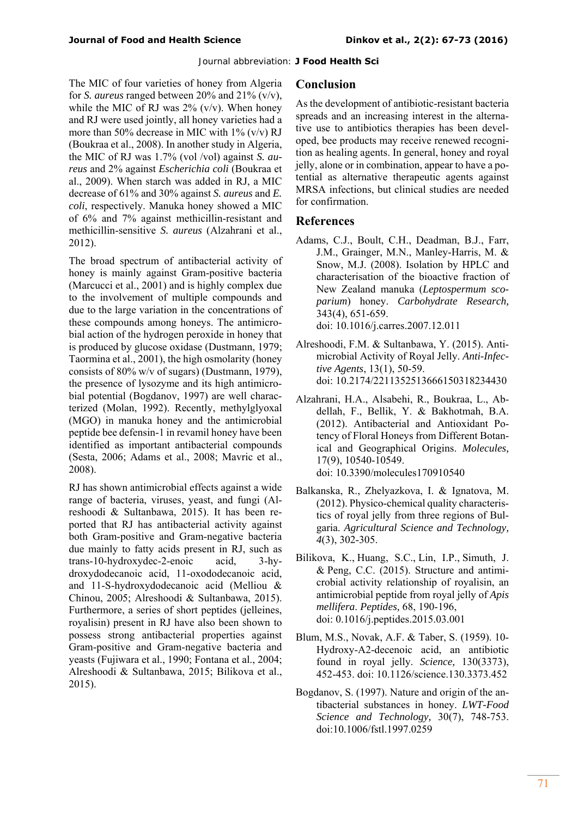The MIC of four varieties of honey from Algeria for *S. aureus* ranged between 20% and 21% (v/v), while the MIC of RJ was  $2\%$  (v/v). When honey and RJ were used jointly, all honey varieties had a more than 50% decrease in MIC with 1% (v/v) RJ (Boukraa et al., 2008). In another study in Algeria, the MIC of RJ was 1.7% (vol /vol) against *S. aureus* and 2% against *Escherichia coli* (Boukraa et al., 2009). When starch was added in RJ, a MIC decrease of 61% and 30% against *S. aureus* and *E. coli*, respectively. Manuka honey showed a MIC of 6% and 7% against methicillin-resistant and methicillin-sensitive *S. aureus* (Alzahrani et al., 2012).

The broad spectrum of antibacterial activity of honey is mainly against Gram-positive bacteria (Marcucci et al., 2001) and is highly complex due to the involvement of multiple compounds and due to the large variation in the concentrations of these compounds among honeys. The antimicrobial action of the hydrogen peroxide in honey that is produced by glucose oxidase (Dustmann, 1979; Taormina et al., 2001), the high osmolarity (honey consists of 80% w/v of sugars) (Dustmann, 1979), the presence of lysozyme and its high antimicrobial potential (Bogdanov, 1997) are well characterized (Molan, 1992). Recently, methylglyoxal (MGO) in manuka honey and the antimicrobial peptide bee defensin-1 in revamil honey have been identified as important antibacterial compounds (Sesta, 2006; Adams et al., 2008; Mavric et al., 2008).

RJ has shown antimicrobial effects against a wide range of bacteria, viruses, yeast, and fungi (Alreshoodi & Sultanbawa, 2015). It has been reported that RJ has antibacterial activity against both Gram-positive and Gram-negative bacteria due mainly to fatty acids present in RJ, such as trans-10-hydroxydec-2-enoic acid, 3-hydroxydodecanoic acid, 11-oxododecanoic acid, and 11-S-hydroxydodecanoic acid (Melliou & Chinou, 2005; Alreshoodi & Sultanbawa, 2015). Furthermore, a series of short peptides (jelleines, royalisin) present in RJ have also been shown to possess strong antibacterial properties against Gram-positive and Gram-negative bacteria and yeasts (Fujiwara et al., 1990; Fontana et al., 2004; Alreshoodi & Sultanbawa, 2015; Bilikova et al., 2015).

#### **Conclusion**

As the development of antibiotic-resistant bacteria spreads and an increasing interest in the alternative use to antibiotics therapies has been developed, bee products may receive renewed recognition as healing agents. In general, honey and royal jelly, alone or in combination, appear to have a potential as alternative therapeutic agents against MRSA infections, but clinical studies are needed for confirmation.

#### **References**

- Adams, C.J., Boult, C.H., Deadman, B.J., Farr, J.M., Grainger, M.N., Manley-Harris, M. & Snow, M.J. (2008). Isolation by HPLC and characterisation of the bioactive fraction of New Zealand manuka (*Leptospermum scoparium*) honey. *Carbohydrate Research,*  343(4), 651-659. doi: 10.1016/j.carres.2007.12.011
- Alreshoodi, F.M. & Sultanbawa, Y. (2015). Antimicrobial Activity of Royal Jelly. *Anti-Infective Agents*, 13(1), 50-59. doi: 10.2174/2211352513666150318234430
- Alzahrani, H.A., Alsabehi, R., Boukraa, L., Abdellah, F., Bellik, Y. & Bakhotmah, B.A. (2012). Antibacterial and Antioxidant Potency of Floral Honeys from Different Botanical and Geographical Origins. *Molecules,*  17(9), 10540-10549. doi: 10.3390/molecules170910540
- Balkanska, R., Zhelyazkova, I. & Ignatova, M. (2012). Physico-chemical quality characteristics of royal jelly from three regions of Bulgaria. *Agricultural Science and Technology, 4*(3), 302-305.
- Bilikova, K., Huang, S.C., Lin, I.P., Simuth, J. & Peng, C.C. (2015). Structure and antimicrobial activity relationship of royalisin, an antimicrobial peptide from royal jelly of *Apis mellifera*. *Peptides,* 68, 190-196, doi: 0.1016/j.peptides.2015.03.001
- Blum, M.S., Novak, A.F. & Taber, S. (1959). 10- Hydroxy-A2-decenoic acid, an antibiotic found in royal jelly. *Science,* 130(3373), 452-453. doi: 10.1126/science.130.3373.452
- Bogdanov, S. (1997). Nature and origin of the antibacterial substances in honey. *LWT-Food Science and Technology,* 30(7), 748-753. doi:10.1006/fstl.1997.0259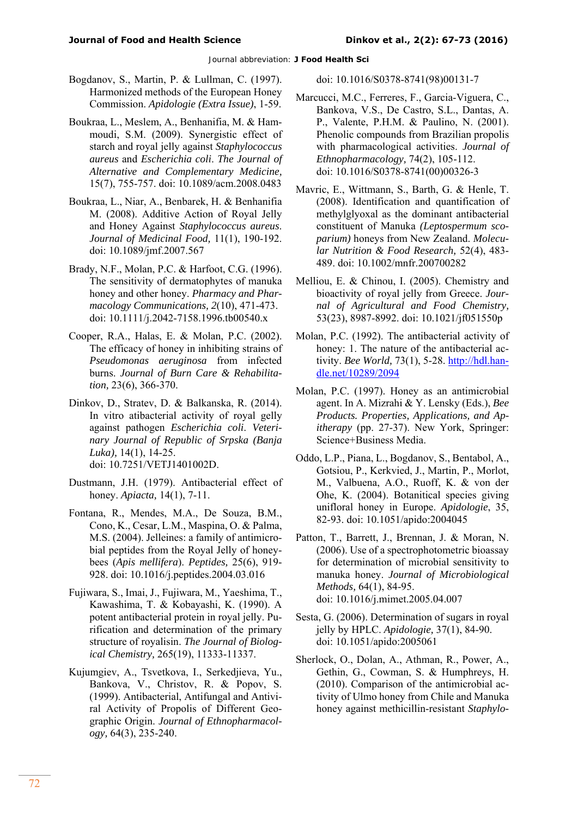- Bogdanov, S., Martin, P. & Lullman, C. (1997). Harmonized methods of the European Honey Commission. *Apidologie (Extra Issue)*, 1-59.
- Boukraa, L., Meslem, A., Benhanifia, M. & Hammoudi, S.M. (2009). Synergistic effect of starch and royal jelly against *Staphylococcus aureus* and *Escherichia coli*. *The Journal of Alternative and Complementary Medicine,*  15(7), 755-757. doi: 10.1089/acm.2008.0483
- Boukraa, L., Niar, A., Benbarek, H. & Benhanifia M. (2008). Additive Action of Royal Jelly and Honey Against *Staphylococcus aureus*. *Journal of Medicinal Food,* 11(1), 190-192. doi: 10.1089/jmf.2007.567
- Brady, N.F., Molan, P.C. & Harfoot, C.G. (1996). The sensitivity of dermatophytes of manuka honey and other honey. *Pharmacy and Pharmacology Communications, 2*(10), 471-473. doi: 10.1111/j.2042-7158.1996.tb00540.x
- Cooper, R.A., Halas, E. & Molan, P.C. (2002). The efficacy of honey in inhibiting strains of *Pseudomonas aeruginosa* from infected burns. *Journal of Burn Care & Rehabilitation,* 23(6), 366-370.
- Dinkov, D., Stratev, D. & Balkanska, R. (2014). In vitro atibacterial activity of royal gelly against pathogen *Escherichia coli*. *Veterinary Journal of Republic of Srpska (Banja Luka),* 14(1), 14-25. doi: 10.7251/VETJ1401002D.
- Dustmann, J.H. (1979). Antibacterial effect of honey. *Apiacta,* 14(1), 7-11.
- Fontana, R., Mendes, M.A., De Souza, B.M., Cono, K., Cesar, L.M., Maspina, O. & Palma, M.S. (2004). Jelleines: a family of antimicrobial peptides from the Royal Jelly of honeybees (*Apis mellifera*). *Peptides,* 25(6), 919- 928. doi: 10.1016/j.peptides.2004.03.016
- Fujiwara, S., Imai, J., Fujiwara, M., Yaeshima, T., Kawashima, T. & Kobayashi, K. (1990). A potent antibacterial protein in royal jelly. Purification and determination of the primary structure of royalisin. *The Journal of Biological Chemistry,* 265(19), 11333-11337.
- Kujumgiev, A., Tsvetkova, I., Serkedjieva, Yu., Bankova, V., Christov, R. & Popov, S. (1999). Antibacterial, Antifungal and Antiviral Activity of Propolis of Different Geographic Origin. *Journal of Ethnopharmacology,* 64(3), 235-240.

doi: 10.1016/S0378-8741(98)00131-7

- Marcucci, M.C., Ferreres, F., Garcia-Viguera, C., Bankova, V.S., De Castro, S.L., Dantas, A. P., Valente, P.H.M. & Paulino, N. (2001). Phenolic compounds from Brazilian propolis with pharmacological activities. *Journal of Ethnopharmacology,* 74(2), 105-112. doi: 10.1016/S0378-8741(00)00326-3
- Mavric, E., Wittmann, S., Barth, G. & Henle, T. (2008). Identification and quantification of methylglyoxal as the dominant antibacterial constituent of Manuka *(Leptospermum scoparium)* honeys from New Zealand. *Molecular Nutrition & Food Research,* 52(4), 483- 489. doi: 10.1002/mnfr.200700282
- Melliou, E. & Chinou, I. (2005). Chemistry and bioactivity of royal jelly from Greece. *Journal of Agricultural and Food Chemistry,*  53(23), 8987-8992. doi: 10.1021/jf051550p
- Molan, P.C. (1992). The antibacterial activity of honey: 1. The nature of the antibacterial activity. *Bee World,* 73(1), 5-28. http://hdl.handle.net/10289/2094
- Molan, P.C. (1997). Honey as an antimicrobial agent. In A. Mizrahi & Y. Lensky (Eds.), *Bee Products. Properties, Applications, and Apitherapy* (pp. 27-37). New York, Springer: Science+Business Media.
- Oddo, L.P., Piana, L., Bogdanov, S., Bentabol, A., Gotsiou, P., Kerkvied, J., Martin, P., Morlot, M., Valbuena, A.O., Ruoff, K. & von der Ohe, K. (2004). Botanitical species giving unifloral honey in Europe. *Apidologie*, 35, 82-93. doi: 10.1051/apido:2004045
- Patton, T., Barrett, J., Brennan, J. & Moran, N. (2006). Use of a spectrophotometric bioassay for determination of microbial sensitivity to manuka honey. *Journal of Microbiological Methods,* 64(1), 84-95. doi: 10.1016/j.mimet.2005.04.007
- Sesta, G. (2006). Determination of sugars in royal jelly by HPLC. *Apidologie,* 37(1), 84-90. doi: 10.1051/apido:2005061
- Sherlock, O., Dolan, A., Athman, R., Power, A., Gethin, G., Cowman, S. & Humphreys, H. (2010). Comparison of the antimicrobial activity of Ulmo honey from Chile and Manuka honey against methicillin-resistant *Staphylo-*